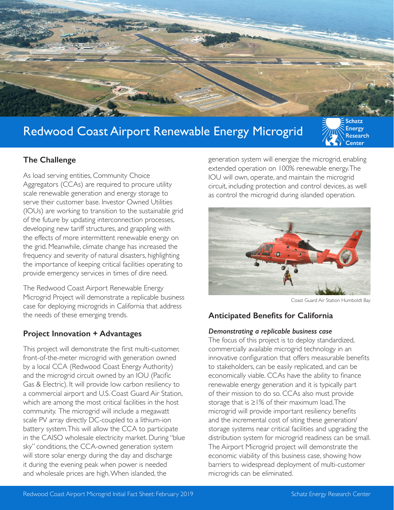

# Redwood Coast Airport Renewable Energy Microgrid



#### **The Challenge**

As load serving entities, Community Choice Aggregators (CCAs) are required to procure utility scale renewable generation and energy storage to serve their customer base. Investor Owned Utilities (IOUs) are working to transition to the sustainable grid of the future by updating interconnection processes, developing new tariff structures, and grappling with the effects of more intermittent renewable energy on the grid. Meanwhile, climate change has increased the frequency and severity of natural disasters, highlighting the importance of keeping critical facilities operating to provide emergency services in times of dire need.

The Redwood Coast Airport Renewable Energy Microgrid Project will demonstrate a replicable business case for deploying microgrids in California that address the needs of these emerging trends.

#### **Project Innovation + Advantages**

This project will demonstrate the first multi-customer, front-of-the-meter microgrid with generation owned by a local CCA (Redwood Coast Energy Authority) and the microgrid circuit owned by an IOU (Pacific Gas & Electric). It will provide low carbon resiliency to a commercial airport and U.S. Coast Guard Air Station, which are among the most critical facilities in the host community. The microgrid will include a megawatt scale PV array directly DC-coupled to a lithium-ion battery system. This will allow the CCA to participate in the CAISO wholesale electricity market. During "blue sky" conditions, the CCA-owned generation system will store solar energy during the day and discharge it during the evening peak when power is needed and wholesale prices are high. When islanded, the

generation system will energize the microgrid, enabling extended operation on 100% renewable energy. The IOU will own, operate, and maintain the microgrid circuit, including protection and control devices, as well as control the microgrid during islanded operation.



Coast Guard Air Station Humboldt Bay

### **Anticipated Benefits for California**

#### *Demonstrating a replicable business case*

The focus of this project is to deploy standardized, commercially available microgrid technology in an innovative configuration that offers measurable benefits to stakeholders, can be easily replicated, and can be economically viable. CCAs have the ability to finance renewable energy generation and it is typically part of their mission to do so. CCAs also must provide storage that is ≥1% of their maximum load. The microgrid will provide important resiliency benefits and the incremental cost of siting these generation/ storage systems near critical facilities and upgrading the distribution system for microgrid readiness can be small. The Airport Microgrid project will demonstrate the economic viability of this business case, showing how barriers to widespread deployment of multi-customer microgrids can be eliminated.